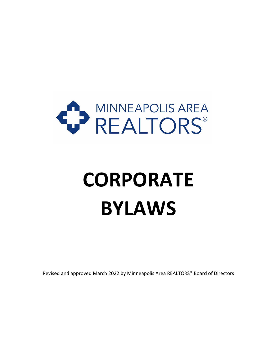

# **CORPORATE BYLAWS**

Revised and approved March 2022 by Minneapolis Area REALTORS® Board of Directors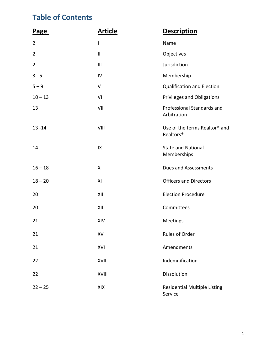# **Table of Contents**

| <b>Page</b>    | <b>Article</b> | <b>Description</b>                                                 |
|----------------|----------------|--------------------------------------------------------------------|
| $\overline{2}$ | $\mathsf{I}$   | Name                                                               |
| $\overline{2}$ | Ш              | Objectives                                                         |
| $\overline{2}$ | $\mathbf{III}$ | Jurisdiction                                                       |
| $3 - 5$        | IV             | Membership                                                         |
| $5 - 9$        | V              | <b>Qualification and Election</b>                                  |
| $10 - 13$      | VI             | <b>Privileges and Obligations</b>                                  |
| 13             | VII            | Professional Standards and<br>Arbitration                          |
| $13 - 14$      | VIII           | Use of the terms Realtor <sup>®</sup> and<br>Realtors <sup>®</sup> |
| 14             | IX             | <b>State and National</b><br>Memberships                           |
| $16 - 18$      | X              | <b>Dues and Assessments</b>                                        |
| $18 - 20$      | XI             | <b>Officers and Directors</b>                                      |
| 20             | XII            | <b>Election Procedure</b>                                          |
| 20             | XIII           | Committees                                                         |
| 21             | XIV            | Meetings                                                           |
| 21             | XV             | Rules of Order                                                     |
| 21             | XVI            | Amendments                                                         |
| 22             | XVII           | Indemnification                                                    |
| 22             | <b>XVIII</b>   | Dissolution                                                        |
| $22 - 25$      | XIX            | <b>Residential Multiple Listing</b><br>Service                     |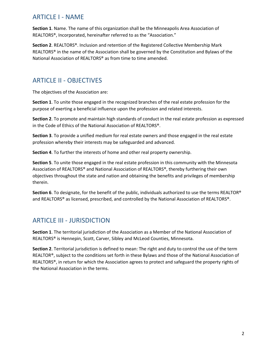# ARTICLE I - NAME

**Section 1**. Name. The name of this organization shall be the Minneapolis Area Association of REALTORS®, Incorporated, hereinafter referred to as the "Association."

**Section 2**. REALTORS®. Inclusion and retention of the Registered Collective Membership Mark REALTORS® in the name of the Association shall be governed by the Constitution and Bylaws of the National Association of REALTORS® as from time to time amended.

# ARTICLE II - OBJECTIVES

The objectives of the Association are:

**Section 1**. To unite those engaged in the recognized branches of the real estate profession for the purpose of exerting a beneficial influence upon the profession and related interests.

**Section 2**. To promote and maintain high standards of conduct in the real estate profession as expressed in the Code of Ethics of the National Association of REALTORS®.

**Section 3**. To provide a unified medium for real estate owners and those engaged in the real estate profession whereby their interests may be safeguarded and advanced.

**Section 4**. To further the interests of home and other real property ownership.

**Section 5**. To unite those engaged in the real estate profession in this community with the Minnesota Association of REALTORS® and National Association of REALTORS®, thereby furthering their own objectives throughout the state and nation and obtaining the benefits and privileges of membership therein.

**Section 6**. To designate, for the benefit of the public, individuals authorized to use the terms REALTOR® and REALTORS® as licensed, prescribed, and controlled by the National Association of REALTORS®.

# ARTICLE III - JURISDICTION

**Section 1**. The territorial jurisdiction of the Association as a Member of the National Association of REALTORS® is Hennepin, Scott, Carver, Sibley and McLeod Counties, Minnesota.

**Section 2**. Territorial jurisdiction is defined to mean: The right and duty to control the use of the term REALTOR®, subject to the conditions set forth in these Bylaws and those of the National Association of REALTORS®, in return for which the Association agrees to protect and safeguard the property rights of the National Association in the terms.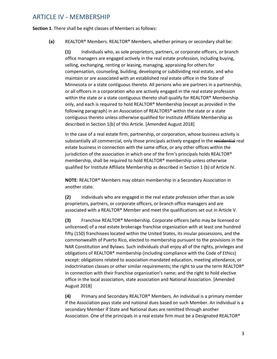## ARTICLE IV - MEMBERSHIP

**Section 1**. There shall be eight classes of Members as follows:

**(a)** REALTOR® Members. REALTOR® Members, whether primary or secondary shall be:

**(1)** Individuals who, as sole proprietors, partners, or corporate officers, or branch office managers are engaged actively in the real estate profession, including buying, selling, exchanging, renting or leasing, managing, appraising for others for compensation, counseling, building, developing or subdividing real estate, and who maintain or are associated with an established real estate office in the State of Minnesota or a state contiguous thereto. All persons who are partners in a partnership, or all officers in a corporation who are actively engaged in the real estate profession within the state or a state contiguous thereto shall qualify for REALTOR® Membership only, and each is required to hold REALTOR® Membership (except as provided in the following paragraph) in an Association of REALTORS® within the state or a state contiguous thereto unless otherwise qualified for Institute Affiliate Membership as described in Section 1(b) of this Article. [Amended August 2018]

In the case of a real estate firm, partnership, or corporation, whose business activity is substantially all commercial, only those principals actively engaged in the residential real estate business in connection with the same office, or any other offices within the jurisdiction of the association in which one of the firm's principals holds REALTOR® membership, shall be required to hold REALTOR® membership unless otherwise qualified for Institute Affiliate Membership as described in Section 1 (b) of Article IV.

**NOTE**: REALTOR® Members may obtain membership in a Secondary Association in another state.

**(2)** Individuals who are engaged in the real estate profession other than as sole proprietors, partners, or corporate officers, or branch office managers and are associated with a REALTOR® Member and meet the qualifications set out in Article V.

**(3)** Franchise REALTOR® Membership. Corporate officers (who may be licensed or unlicensed) of a real estate brokerage franchise organization with at least one hundred fifty (150) franchisees located within the United States, its insular possessions, and the commonwealth of Puerto Rico, elected to membership pursuant to the provisions in the NAR Constitution and Bylaws. Such individuals shall enjoy all of the rights, privileges and obligations of REALTOR® membership (including compliance with the Code of Ethics) except: obligations related to association-mandated education, meeting attendance, or indoctrination classes or other similar requirements; the right to use the term REALTOR® in connection with their franchise organization's name; and the right to hold elective office in the local association, state association and National Association. [Amended August 2018]

**(4)** Primary and Secondary REALTOR® Members. An individual is a primary member if the Association pays state and national dues based on such Member. An individual is a secondary Member if State and National dues are remitted through another Association. One of the principals in a real estate firm must be a Designated REALTOR®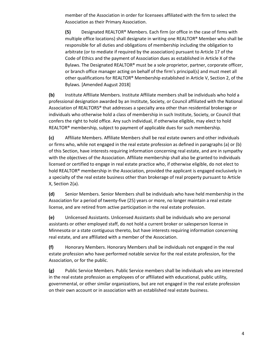member of the Association in order for licensees affiliated with the firm to select the Association as their Primary Association.

**(5)** Designated REALTOR® Members. Each firm (or office in the case of firms with multiple office locations) shall designate in writing one REALTOR® Member who shall be responsible for all duties and obligations of membership including the obligation to arbitrate (or to mediate if required by the association) pursuant to Article 17 of the Code of Ethics and the payment of Association dues as established in Article X of the Bylaws. The Designated REALTOR® must be a sole proprietor, partner, corporate officer, or branch office manager acting on behalf of the firm's principal(s) and must meet all other qualifications for REALTOR® Membership established in Article V, Section 2, of the Bylaws. [Amended August 2018]

**(b)** Institute Affiliate Members. Institute Affiliate members shall be individuals who hold a professional designation awarded by an Institute, Society, or Council affiliated with the National Association of REALTORS® that addresses a specialty area other than residential brokerage or individuals who otherwise hold a class of membership in such Institute, Society, or Council that confers the right to hold office. Any such individual, if otherwise eligible, may elect to hold REALTOR® membership, subject to payment of applicable dues for such membership.

**(c)** Affiliate Members. Affiliate Members shall be real estate owners and other individuals or firms who, while not engaged in the real estate profession as defined in paragraphs (a) or (b) of this Section, have interests requiring information concerning real estate, and are in sympathy with the objectives of the Association. Affiliate membership shall also be granted to individuals licensed or certified to engage in real estate practice who, if otherwise eligible, do not elect to hold REALTOR® membership in the Association, provided the applicant is engaged exclusively in a specialty of the real estate business other than brokerage of real property pursuant to Article X, Section 2(a).

**(d)** Senior Members. Senior Members shall be individuals who have held membership in the Association for a period of twenty-five (25) years or more, no longer maintain a real estate license, and are retired from active participation in the real estate profession.

**(e)** Unlicensed Assistants. Unlicensed Assistants shall be individuals who are personal assistants or other employed staff, do not hold a current broker or salesperson license in Minnesota or a state contiguous thereto, but have interests requiring information concerning real estate, and are affiliated with a member of the Association.

**(f)** Honorary Members. Honorary Members shall be individuals not engaged in the real estate profession who have performed notable service for the real estate profession, for the Association, or for the public.

**(g)** Public Service Members. Public Service members shall be individuals who are interested in the real estate profession as employees of or affiliated with educational, public utility, governmental, or other similar organizations, but are not engaged in the real estate profession on their own account or in association with an established real estate business.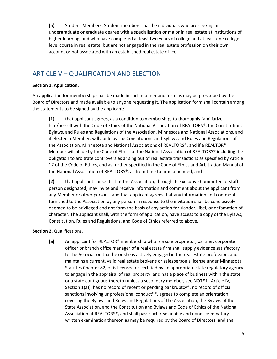**(h)** Student Members. Student members shall be individuals who are seeking an undergraduate or graduate degree with a specialization or major in real estate at institutions of higher learning, and who have completed at least two years of college and at least one collegelevel course in real estate, but are not engaged in the real estate profession on their own account or not associated with an established real estate office.

# ARTICLE V – QUALIFICATION AND ELECTION

#### **Section 1**. **Application.**

An application for membership shall be made in such manner and form as may be prescribed by the Board of Directors and made available to anyone requesting it. The application form shall contain among the statements to be signed by the applicant:

**(1)** that applicant agrees, as a condition to membership, to thoroughly familiarize him/herself with the Code of Ethics of the National Association of REALTORS®, the Constitution, Bylaws, and Rules and Regulations of the Association, Minnesota and National Associations, and if elected a Member, will abide by the Constitutions and Bylaws and Rules and Regulations of the Association, Minnesota and National Associations of REALTORS®, and if a REALTOR® Member will abide by the Code of Ethics of the National Association of REALTORS® including the obligation to arbitrate controversies arising out of real estate transactions as specified by Article 17 of the Code of Ethics, and as further specified in the Code of Ethics and Arbitration Manual of the National Association of REALTORS®, as from time to time amended, and

**(2)** that applicant consents that the Association, through its Executive Committee or staff person designated, may invite and receive information and comment about the applicant from any Member or other persons, and that applicant agrees that any information and comment furnished to the Association by any person in response to the invitation shall be conclusively deemed to be privileged and not form the basis of any action for slander, libel, or defamation of character. The applicant shall, with the form of application, have access to a copy of the Bylaws, Constitution, Rules and Regulations, and Code of Ethics referred to above.

#### **Section 2.** Qualifications.

**(a)** An applicant for REALTOR® membership who is a sole proprietor, partner, corporate officer or branch office manager of a real estate firm shall supply evidence satisfactory to the Association that he or she is actively engaged in the real estate profession, and maintains a current, valid real estate broker's or salesperson's license under Minnesota Statutes Chapter 82, or is licensed or certified by an appropriate state regulatory agency to engage in the appraisal of real property, and has a place of business within the state or a state contiguous thereto (unless a secondary member, see NOTE in Article IV, Section 1(a)), has no record of recent or pending bankruptcy\*, no record of official sanctions involving unprofessional conduct\*\*, agrees to complete an orientation covering the Bylaws and Rules and Regulations of the Association, the Bylaws of the State Association, and the Constitution and Bylaws and Code of Ethics of the National Association of REALTORS®, and shall pass such reasonable and nondiscriminatory written examination thereon as may be required by the Board of Directors, and shall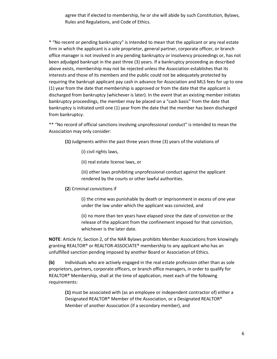agree that if elected to membership, he or she will abide by such Constitution, Bylaws, Rules and Regulations, and Code of Ethics.

\* "No recent or pending bankruptcy" is intended to mean that the applicant or any real estate firm in which the applicant is a sole proprietor, general partner, corporate officer, or branch office manager is not involved in any pending bankruptcy or insolvency proceedings or, has not been adjudged bankrupt in the past three (3) years. If a bankruptcy proceeding as described above exists, membership may not be rejected unless the Association establishes that its interests and those of its members and the public could not be adequately protected by requiring the bankrupt applicant pay cash in advance for Association and MLS fees for up to one (1) year from the date that membership is approved or from the date that the applicant is discharged from bankruptcy (whichever is later). In the event that an existing member initiates bankruptcy proceedings, the member may be placed on a "cash basis" from the date that bankruptcy is initiated until one (1) year from the date that the member has been discharged from bankruptcy.

\*\* "No record of official sanctions involving unprofessional conduct" is intended to mean the Association may only consider:

**(1)** Judgments within the past three years three (3) years of the violations of

- (i) civil rights laws,
- (ii) real estate license laws, or

(iii) other laws prohibiting unprofessional conduct against the applicant rendered by the courts or other lawful authorities.

**(2**) Criminal convictions if

(i) the crime was punishable by death or imprisonment in excess of one year under the law under which the applicant was convicted, and

(ii) no more than ten years have elapsed since the date of conviction or the release of the applicant from the confinement imposed for that conviction, whichever is the later date.

**NOTE**: Article IV, Section 2, of the NAR Bylaws prohibits Member Associations from knowingly granting REALTOR® or REALTOR-ASSOCIATE® membership to any applicant who has an unfulfilled sanction pending imposed by another Board or Association of Ethics.

**(b)** Individuals who are actively engaged in the real estate profession other than as sole proprietors, partners, corporate officers, or branch office managers, in order to qualify for REALTOR® Membership, shall at the time of application, meet each of the following requirements:

**(1)** must be associated with (as an employee or independent contractor of) either a Designated REALTOR® Member of the Association, or a Designated REALTOR® Member of another Association (if a secondary member), and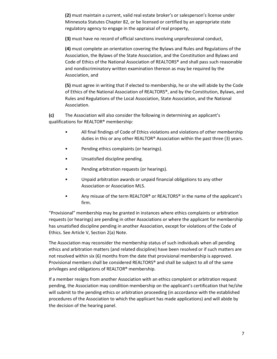**(2)** must maintain a current, valid real estate broker's or salesperson's license under Minnesota Statutes Chapter 82, or be licensed or certified by an appropriate state regulatory agency to engage in the appraisal of real property,

**(3)** must have no record of official sanctions involving unprofessional conduct,

**(4)** must complete an orientation covering the Bylaws and Rules and Regulations of the Association, the Bylaws of the State Association, and the Constitution and Bylaws and Code of Ethics of the National Association of REALTORS® and shall pass such reasonable and nondiscriminatory written examination thereon as may be required by the Association, and

**(5)** must agree in writing that if elected to membership, he or she will abide by the Code of Ethics of the National Association of REALTORS®, and by the Constitution, Bylaws, and Rules and Regulations of the Local Association, State Association, and the National Association.

**(c)** The Association will also consider the following in determining an applicant's qualifications for REALTOR® membership:

- All final findings of Code of Ethics violations and violations of other membership duties in this or any other REALTOR® Association within the past three (3) years.
- Pending ethics complaints (or hearings).
- Unsatisfied discipline pending.
- Pending arbitration requests (or hearings).
- Unpaid arbitration awards or unpaid financial obligations to any other Association or Association MLS.
- Any misuse of the term REALTOR® or REALTORS® in the name of the applicant's firm.

"Provisional" membership may be granted in instances where ethics complaints or arbitration requests (or hearings) are pending in other Associations or where the applicant for membership has unsatisfied discipline pending in another Association, except for violations of the Code of Ethics. See Article V, Section 2(a) Note.

The Association may reconsider the membership status of such individuals when all pending ethics and arbitration matters (and related discipline) have been resolved or if such matters are not resolved within six (6) months from the date that provisional membership is approved. Provisional members shall be considered REALTORS® and shall be subject to all of the same privileges and obligations of REALTOR® membership.

If a member resigns from another Association with an ethics complaint or arbitration request pending, the Association may condition membership on the applicant's certification that he/she will submit to the pending ethics or arbitration proceeding (in accordance with the established procedures of the Association to which the applicant has made applications) and will abide by the decision of the hearing panel.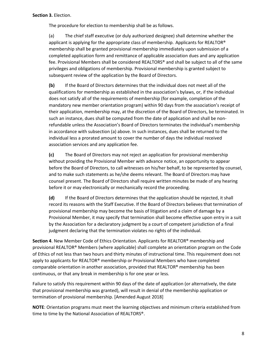The procedure for election to membership shall be as follows.

(a) The chief staff executive (or duly authorized designee) shall determine whether the applicant is applying for the appropriate class of membership*.* Applicants for REALTOR® membership shall be granted provisional membership immediately upon submission of a completed application form and remittance of applicable association dues and any application fee. Provisional Members shall be considered REALTORS® and shall be subject to all of the same privileges and obligations of membership. Provisional membership is granted subject to subsequent review of the application by the Board of Directors.

**(b)** If the Board of Directors determines that the individual does not meet all of the qualifications for membership as established in the association's bylaws, or, if the individual does not satisfy all of the requirements of membership (for example, completion of the mandatory new member orientation program) within 90 days from the association's receipt of their application, membership may, at the discretion of the Board of Directors, be terminated. In such an instance, dues shall be computed from the date of application and shall be nonrefundable unless the Association's Board of Directors terminates the individual's membership in accordance with subsection (a) above. In such instances, dues shall be returned to the individual less a prorated amount to cover the number of days the individual received association services and any application fee.

**(c)** The Board of Directors may not reject an application for provisional membership without providing the Provisional Member with advance notice, an opportunity to appear before the Board of Directors, to call witnesses on his/her behalf, to be represented by counsel, and to make such statements as he/she deems relevant. The Board of Directors may have counsel present. The Board of Directors shall require written minutes be made of any hearing before it or may electronically or mechanically record the proceeding.

**(d)** If the Board of Directors determines that the application should be rejected, it shall record its reasons with the Staff Executive. If the Board of Directors believes that termination of provisional membership may become the basis of litigation and a claim of damage by a Provisional Member, it may specify that termination shall become effective upon entry in a suit by the Association for a declaratory judgment by a court of competent jurisdiction of a final judgment declaring that the termination violates no rights of the individual.

**Section 4**. New Member Code of Ethics Orientation. Applicants for REALTOR® membership and provisional REALTOR® Members (where applicable) shall complete an orientation program on the Code of Ethics of not less than two hours and thirty minutes of instructional time. This requirement does not apply to applicants for REALTOR® membership or Provisional Members who have completed comparable orientation in another association, provided that REALTOR® membership has been continuous, or that any break in membership is for one year or less.

Failure to satisfy this requirement within 90 days of the date of application (or alternatively, the date that provisional membership was granted), will result in denial of the membership application or termination of provisional membership. [Amended August 2018]

**NOTE**: Orientation programs must meet the learning objectives and minimum criteria established from time to time by the National Association of REALTORS®.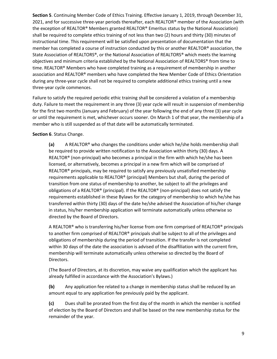**Section 5**. Continuing Member Code of Ethics Training. Effective January 1, 2019, through December 31, 2021, and for successive three-year periods thereafter, each REALTOR® member of the Association (with the exception of REALTOR® Members granted REALTOR® Emeritus status by the National Association) shall be required to complete ethics training of not less than two (2) hours and thirty (30) minutes of instructional time. This requirement will be satisfied upon presentation of documentation that the member has completed a course of instruction conducted by this or another REALTOR® association, the State Association of REALTORS®, or the National Association of REALTORS® which meets the learning objectives and minimum criteria established by the National Association of REALTORS® from time to time. REALTOR<sup>®</sup> Members who have completed training as a requirement of membership in another association and REALTOR® members who have completed the New Member Code of Ethics Orientation during any three-year cycle shall not be required to complete additional ethics training until a new three-year cycle commences.

Failure to satisfy the required periodic ethic training shall be considered a violation of a membership duty. Failure to meet the requirement in any three (3) year cycle will result in suspension of membership for the first two months (January and February) of the year following the end of any three (3) year cycle or until the requirement is met, whichever occurs sooner. On March 1 of that year, the membership of a member who is still suspended as of that date will be automatically terminated.

#### **Section 6**. Status Change.

**(a)** A REALTOR® who changes the conditions under which he/she holds membership shall be required to provide written notification to the Association within thirty (30) days. A REALTOR® (non-principal) who becomes a principal in the firm with which he/she has been licensed, or alternatively, becomes a principal in a new firm which will be comprised of REALTOR® principals, may be required to satisfy any previously unsatisfied membership requirements applicable to REALTOR® (principal) Members but shall, during the period of transition from one status of membership to another, be subject to all the privileges and obligations of a REALTOR® (principal). If the REALTOR® (non-principal) does not satisfy the requirements established in these Bylaws for the category of membership to which he/she has transferred within thirty (30) days of the date he/she advised the Association of his/her change in status, his/her membership application will terminate automatically unless otherwise so directed by the Board of Directors.

A REALTOR® who is transferring his/her license from one firm comprised of REALTOR® principals to another firm comprised of REALTOR<sup>®</sup> principals shall be subject to all of the privileges and obligations of membership during the period of transition. If the transfer is not completed within 30 days of the date the association is advised of the disaffiliation with the current firm, membership will terminate automatically unless otherwise so directed by the Board of Directors.

(The Board of Directors, at its discretion, may waive any qualification which the applicant has already fulfilled in accordance with the Association's Bylaws.)

**(b)** Any application fee related to a change in membership status shall be reduced by an amount equal to any application fee previously paid by the applicant.

**(c)** Dues shall be prorated from the first day of the month in which the member is notified of election by the Board of Directors and shall be based on the new membership status for the remainder of the year.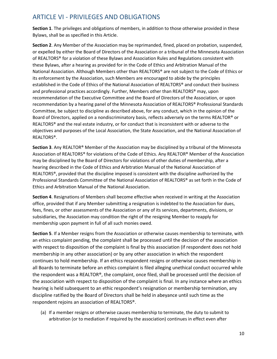# ARTICLE VI - PRIVILEGES AND OBLIGATIONS

**Section 1**. The privileges and obligations of members, in addition to those otherwise provided in these Bylaws, shall be as specified in this Article.

**Section 2**. Any Member of the Association may be reprimanded, fined, placed on probation, suspended, or expelled by either the Board of Directors of the Association or a tribunal of the Minnesota Association of REALTORS® for a violation of these Bylaws and Association Rules and Regulations consistent with these Bylaws, after a hearing as provided for in the Code of Ethics and Arbitration Manual of the National Association. Although Members other than REALTORS® are not subject to the Code of Ethics or its enforcement by the Association, such Members are encouraged to abide by the principles established in the Code of Ethics of the National Association of REALTORS® and conduct their business and professional practices accordingly. Further, Members other than REALTORS® may, upon recommendation of the Executive Committee and the Board of Directors of the Association, or upon recommendation by a hearing panel of the Minnesota Association of REALTORS® Professional Standards Committee, be subject to discipline as described above, for any conduct, which in the opinion of the Board of Directors, applied on a nondiscriminatory basis, reflects adversely on the terms REALTOR® or REALTORS® and the real estate industry, or for conduct that is inconsistent with or adverse to the objectives and purposes of the Local Association, the State Association, and the National Association of REALTORS®.

**Section 3**. Any REALTOR® Member of the Association may be disciplined by a tribunal of the Minnesota Association of REALTORS® for violations of the Code of Ethics. Any REALTOR® Member of the Association may be disciplined by the Board of Directors for violations of other duties of membership, after a hearing described in the Code of Ethics and Arbitration Manual of the National Association of REALTORS®, provided that the discipline imposed is consistent with the discipline authorized by the Professional Standards Committee of the National Association of REALTORS® as set forth in the Code of Ethics and Arbitration Manual of the National Association.

**Section 4**. Resignations of Members shall become effective when received in writing at the Association office, provided that if any Member submitting a resignation is indebted to the Association for dues, fees, fines, or other assessments of the Association or any of its services, departments, divisions, or subsidiaries, the Association may condition the right of the resigning Member to reapply for membership upon payment in full of all such monies owed.

**Section 5**. If a Member resigns from the Association or otherwise causes membership to terminate, with an ethics complaint pending, the complaint shall be processed until the decision of the association with respect to disposition of the complaint is final by this association (if respondent does not hold membership in any other association) or by any other association in which the respondent continues to hold membership. If an ethics respondent resigns or otherwise causes membership in all Boards to terminate before an ethics complaint is filed alleging unethical conduct occurred while the respondent was a REALTOR®, the complaint, once filed, shall be processed until the decision of the association with respect to disposition of the complaint is final. In any instance where an ethics hearing is held subsequent to an ethic respondent's resignation or membership termination, any discipline ratified by the Board of Directors shall be held in abeyance until such time as the respondent rejoins an association of REALTORS®.

(a) If a member resigns or otherwise causes membership to terminate, the duty to submit to arbitration (or to mediation if required by the association) continues in effect even after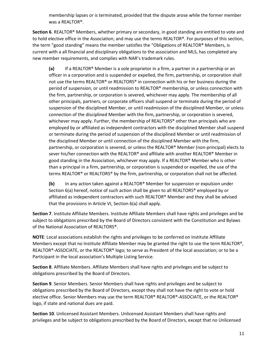membership lapses or is terminated, provided that the dispute arose while the former member was a REALTOR®.

**Section 6**. REALTOR® Members, whether primary or secondary, in good standing are entitled to vote and to hold elective office in the Association; and may use the terms REALTOR®. For purposes of this section, the term "good standing" means the member satisfies the "Obligations of REALTOR® Members, is current with a all financial and disciplinary obligations to the association and MLS, has completed any new member requirements, and complies with NAR's trademark rules.

**(a)** If a REALTOR® Member is a sole proprietor in a firm, a partner in a partnership or an officer in a corporation and is suspended or expelled, the firm, partnership, or corporation shall not use the terms REALTOR® or REALTORS® in connection with his or her business during the period of suspension, or until readmission to REALTOR® membership, or unless connection with the firm, partnership, or corporation is severed, whichever may apply. The membership of all other principals, partners, or corporate officers shall suspend or terminate during the period of suspension of the disciplined Member, or until readmission of the disciplined Member, or unless connection of the disciplined Member with the firm, partnership, or corporation is severed, whichever may apply. Further, the membership of REALTORS® other than principals who are employed by or affiliated as independent contractors with the disciplined Member shall suspend or terminate during the period of suspension of the disciplined Member or until readmission of the disciplined Member or until connection of the disciplined Member with the firm, partnership, or corporation is severed, or unless the REALTOR® Member (non-principal) elects to sever his/her connection with the REALTOR® and affiliate with another REALTOR® Member in good standing in the Association, whichever may apply. If a REALTOR® Member who is other than a principal in a firm, partnership, or corporation is suspended or expelled, the use of the terms REALTOR® or REALTORS® by the firm, partnership, or corporation shall not be affected.

**(b)** In any action taken against a REALTOR® Member for suspension or expulsion under Section 6(a) hereof, notice of such action shall be given to all REALTORS® employed by or affiliated as independent contractors with such REALTOR® Member and they shall be advised that the provisions in Article VI, Section 6(a) shall apply.

**Section 7**. Institute Affiliate Members. Institute Affiliate Members shall have rights and privileges and be subject to obligations prescribed by the Board of Directors consistent with the Constitution and Bylaws of the National Association of REALTORS®.

**NOTE**: Local associations establish the rights and privileges to be conferred on Institute Affiliate Members except that no Institute Affiliate Member may be granted the right to use the term REALTOR®, REALTOR®-ASSOCIATE, or the REALTOR® logo; to serve as President of the local association; or to be a Participant in the local association's Multiple Listing Service.

**Section 8**. Affiliate Members. Affiliate Members shall have rights and privileges and be subject to obligations prescribed by the Board of Directors.

**Section 9**. Senior Members. Senior Members shall have rights and privileges and be subject to obligations prescribed by the Board of Directors, except they shall not have the right to vote or hold elective office. Senior Members may use the term REALTOR® REALTOR®-ASSOCIATE, or the REALTOR® logo, if state and national dues are paid.

**Section 10**. Unlicensed Assistant Members. Unlicensed Assistant Members shall have rights and privileges and be subject to obligations prescribed by the Board of Directors, except that no Unlicensed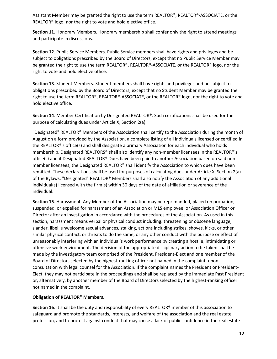Assistant Member may be granted the right to use the term REALTOR®, REALTOR®-ASSOCIATE, or the REALTOR® logo, nor the right to vote and hold elective office.

**Section 11**. Honorary Members. Honorary membership shall confer only the right to attend meetings and participate in discussions.

**Section 12**. Public Service Members. Public Service members shall have rights and privileges and be subject to obligations prescribed by the Board of Directors, except that no Public Service Member may be granted the right to use the term REALTOR®, REALTOR®-ASSOCIATE, or the REALTOR® logo, nor the right to vote and hold elective office.

**Section 13**. Student Members. Student members shall have rights and privileges and be subject to obligations prescribed by the Board of Directors, except that no Student Member may be granted the right to use the term REALTOR®, REALTOR®-ASSOCIATE, or the REALTOR® logo, nor the right to vote and hold elective office.

**Section 14**. Member Certification by Designated REALTOR®. Such certifications shall be used for the purpose of calculating dues under Article X, Section 2(a).

"Designated" REALTOR® Members of the Association shall certify to the Association during the month of August on a form provided by the Association, a complete listing of all individuals licensed or certified in the REALTOR®'s office(s) and shall designate a primary Association for each individual who holds membership. Designated REALTORS® shall also identify any non-member licensees in the REALTOR®'s office(s) and if Designated REALTOR® Dues have been paid to another Association based on said nonmember licensees, the Designated REALTOR® shall identify the Association to which dues have been remitted. These declarations shall be used for purposes of calculating dues under Article X, Section 2(a) of the Bylaws. "Designated" REALTOR® Members shall also notify the Association of any additional individual(s) licensed with the firm(s) within 30 days of the date of affiliation or severance of the individual.

**Section 15**. Harassment. Any Member of the Association may be reprimanded, placed on probation, suspended, or expelled for harassment of an Association or MLS employee, or Association Officer or Director after an investigation in accordance with the procedures of the Association. As used in this section, harassment means verbal or physical conduct including: threatening or obscene language, slander, libel, unwelcome sexual advances, stalking, actions including strikes, shoves, kicks, or other similar physical contact, or threats to do the same, or any other conduct with the purpose or effect of unreasonably interfering with an individual's work performance by creating a hostile, intimidating or offensive work environment. The decision of the appropriate disciplinary action to be taken shall be made by the investigatory team comprised of the President, President-Elect and one member of the Board of Directors selected by the highest-ranking officer not named in the complaint, upon consultation with legal counsel for the Association. If the complaint names the President or President-Elect, they may not participate in the proceedings and shall be replaced by the Immediate Past President or, alternatively, by another member of the Board of Directors selected by the highest-ranking officer not named in the complaint.

#### **Obligation of REALTOR® Members.**

**Section 16**. It shall be the duty and responsibility of every REALTOR® member of this association to safeguard and promote the standards, interests, and welfare of the association and the real estate profession, and to protect against conduct that may cause a lack of public confidence in the real estate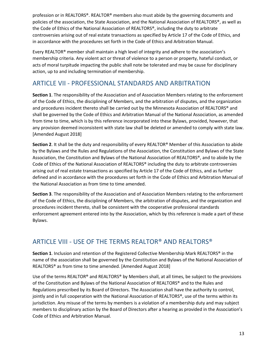profession or in REALTORS®. REALTOR® members also must abide by the governing documents and policies of the association, the State Association, and the National Association of REALTORS®, as well as the Code of Ethics of the National Association of REALTORS®, including the duty to arbitrate controversies arising out of real estate transactions as specified by Article 17 of the Code of Ethics, and in accordance with the procedures set forth in the Code of Ethics and Arbitration Manual.

Every REALTOR® member shall maintain a high level of integrity and adhere to the association's membership criteria. Any violent act or threat of violence to a person or property, hateful conduct, or acts of moral turpitude impacting the public shall note be tolerated and may be cause for disciplinary action, up to and including termination of membership.

# ARTICLE VII - PROFESSIONAL STANDARDS AND ARBITRATION

**Section 1**. The responsibility of the Association and of Association Members relating to the enforcement of the Code of Ethics, the disciplining of Members, and the arbitration of disputes, and the organization and procedures incident thereto shall be carried out by the Minnesota Association of REALTORS® and shall be governed by the Code of Ethics and Arbitration Manual of the National Association, as amended from time to time, which is by this reference incorporated into these Bylaws, provided, however, that any provision deemed inconsistent with state law shall be deleted or amended to comply with state law. [Amended August 2018]

**Section 2**. It shall be the duty and responsibility of every REALTOR® Member of this Association to abide by the Bylaws and the Rules and Regulations of the Association, the Constitution and Bylaws of the State Association, the Constitution and Bylaws of the National Association of REALTORS®, and to abide by the Code of Ethics of the National Association of REALTORS® including the duty to arbitrate controversies arising out of real estate transactions as specified by Article 17 of the Code of Ethics, and as further defined and in accordance with the procedures set forth in the Code of Ethics and Arbitration Manual of the National Association as from time to time amended.

**Section 3**. The responsibility of the Association and of Association Members relating to the enforcement of the Code of Ethics, the disciplining of Members, the arbitration of disputes, and the organization and procedures incident thereto, shall be consistent with the cooperative professional standards enforcement agreement entered into by the Association, which by this reference is made a part of these Bylaws.

# ARTICLE VIII - USE OF THE TERMS REALTOR® AND REALTORS®

**Section 1**. Inclusion and retention of the Registered Collective Membership Mark REALTORS® in the name of the association shall be governed by the Constitution and Bylaws of the National Association of REALTORS® as from time to time amended. [Amended August 2018]

Use of the terms REALTOR® and REALTORS® by Members shall, at all times, be subject to the provisions of the Constitution and Bylaws of the National Association of REALTORS® and to the Rules and Regulations prescribed by its Board of Directors. The Association shall have the authority to control, jointly and in full cooperation with the National Association of REALTORS®, use of the terms within its jurisdiction. Any misuse of the terms by members is a violation of a membership duty and may subject members to disciplinary action by the Board of Directors after a hearing as provided in the Association's Code of Ethics and Arbitration Manual.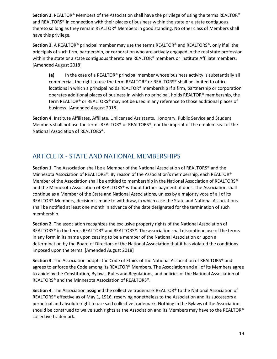**Section 2**. REALTOR® Members of the Association shall have the privilege of using the terms REALTOR® and REALTORS® in connection with their places of business within the state or a state contiguous thereto so long as they remain REALTOR® Members in good standing. No other class of Members shall have this privilege.

**Section 3**. A REALTOR® principal member may use the terms REALTOR® and REALTORS®, only if all the principals of such firm, partnership, or corporation who are actively engaged in the real state profession within the state or a state contiguous thereto are REALTOR® members or Institute Affiliate members. [Amended August 2018]

**(a)** In the case of a REALTOR® principal member whose business activity is substantially all commercial, the right to use the term REALTOR® or REALTORS® shall be limited to office locations in which a principal holds REALTOR® membership If a firm, partnership or corporation operates additional places of business in which no principal, holds REALTOR® membership, the term REALTOR® or REALTORS® may not be used in any reference to those additional places of business. [Amended August 2018]

**Section 4**. Institute Affiliates, Affiliate, Unlicensed Assistants, Honorary, Public Service and Student Members shall not use the terms REALTOR® or REALTORS®, nor the imprint of the emblem seal of the National Association of REALTORS®.

# ARTICLE IX - STATE AND NATIONAL MEMBERSHIPS

**Section 1**. The Association shall be a Member of the National Association of REALTORS® and the Minnesota Association of REALTORS®. By reason of the Association's membership, each REALTOR® Member of the Association shall be entitled to membership in the National Association of REALTORS® and the Minnesota Association of REALTORS® without further payment of dues. The Association shall continue as a Member of the State and National Associations, unless by a majority vote of all of its REALTOR® Members, decision is made to withdraw, in which case the State and National Associations shall be notified at least one month in advance of the date designated for the termination of such membership.

**Section 2**. The association recognizes the exclusive property rights of the National Association of REALTORS® in the terms REALTOR® and REALTORS®. The association shall discontinue use of the terms in any form in its name upon ceasing to be a member of the National Association or upon a determination by the Board of Directors of the National Association that it has violated the conditions imposed upon the terms. [Amended August 2018]

**Section 3**. The Association adopts the Code of Ethics of the National Association of REALTORS® and agrees to enforce the Code among its REALTOR® Members. The Association and all of its Members agree to abide by the Constitution, Bylaws, Rules and Regulations, and policies of the National Association of REALTORS® and the Minnesota Association of REALTORS®.

**Section 4**. The Association assigned the collective trademark REALTOR® to the National Association of REALTORS® effective as of May 1, 1916, reserving nonetheless to the Association and its successors a perpetual and absolute right to use said collective trademark. Nothing in the Bylaws of the Association should be construed to waive such rights as the Association and its Members may have to the REALTOR® collective trademark.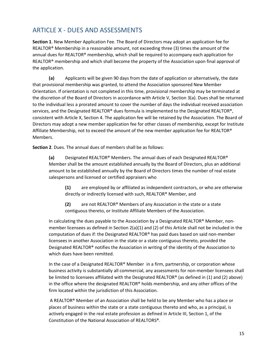# ARTICLE X - DUES AND ASSESSMENTS

**Section 1**. New Member Application Fee. The Board of Directors may adopt an application fee for REALTOR® Membership in a reasonable amount, not exceeding three (3) times the amount of the annual dues for REALTOR® membership, which shall be required to accompany each application for REALTOR® membership and which shall become the property of the Association upon final approval of the application.

**(a)** Applicants will be given 90 days from the date of application or alternatively, the date that provisional membership was granted, to attend the Association sponsored New Member Orientation. If orientation is not completed in this time, provisional membership may be terminated at the discretion of the Board of Directors in accordance with Article V, Section 3(a). Dues shall be returned to the individual less a prorated amount to cover the number of days the individual received association services, and the Designated REALTOR® dues formula is implemented to the Designated REALTOR®, consistent with Article X, Section 4. The application fee will be retained by the Association. The Board of Directors may adopt a new member application fee for other classes of membership, except for Institute Affiliate Membership, not to exceed the amount of the new member application fee for REALTOR® Members.

**Section 2**. Dues. The annual dues of members shall be as follows:

**(a)** Designated REALTOR® Members. The annual dues of each Designated REALTOR® Member shall be the amount established annually by the Board of Directors, plus an additional amount to be established annually by the Board of Directors times the number of real estate salespersons and licensed or certified appraisers who

**(1)** are employed by or affiliated as independent contractors, or who are otherwise directly or indirectly licensed with such, REALTOR® Member, and

**(2)** are not REALTOR® Members of any Association in the state or a state contiguous thereto, or Institute Affiliate Members of the Association.

In calculating the dues payable to the Association by a Designated REALTOR® Member, nonmember licensees as defined in Section 2(a)(1) and (2) of this Article shall not be included in the computation of dues if: the Designated REALTOR® has paid dues based on said non-member licensees in another Association in the state or a state contiguous thereto, provided the Designated REALTOR® notifies the Association in writing of the identity of the Association to which dues have been remitted.

In the case of a Designated REALTOR® Member in a firm, partnership, or corporation whose business activity is substantially all commercial, any assessments for non-member licensees shall be limited to licensees affiliated with the Designated REALTOR® (as defined in (1) and (2) above) in the office where the designated REALTOR® holds membership, and any other offices of the firm located within the jurisdiction of this Association.

A REALTOR® Member of an Association shall be held to be any Member who has a place or places of business within the state or a state contiguous thereto and who, as a principal, is actively engaged in the real estate profession as defined in Article III, Section 1, of the Constitution of the National Association of REALTORS®.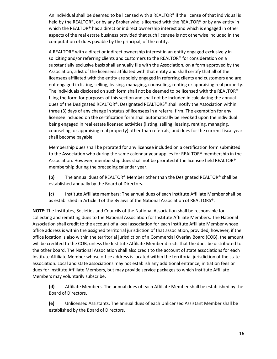An individual shall be deemed to be licensed with a REALTOR® if the license of that individual is held by the REALTOR®, or by any Broker who is licensed with the REALTOR® or by any entity in which the REALTOR® has a direct or indirect ownership interest and which is engaged in other aspects of the real estate business provided that such licensee is not otherwise included in the computation of dues payable by the principal, of the entity.

A REALTOR® with a direct or indirect ownership interest in an entity engaged exclusively in soliciting and/or referring clients and customers to the REALTOR® for consideration on a substantially exclusive basis shall annually file with the Association, on a form approved by the Association, a list of the licensees affiliated with that entity and shall certify that all of the licensees affiliated with the entity are solely engaged in referring clients and customers and are not engaged in listing, selling, leasing, managing, counseling, renting or appraising real property. The individuals disclosed on such form shall not be deemed to be licensed with the REALTOR® filing the form for purposes of this section and shall not be included in calculating the annual dues of the Designated REALTOR®. Designated REALTORS® shall notify the Association within three (3) days of any change in status of licensees in a referral firm. The exemption for any licensee included on the certification form shall automatically be revoked upon the individual being engaged in real estate licensed activities (listing, selling, leasing, renting, managing, counseling, or appraising real property) other than referrals, and dues for the current fiscal year shall become payable.

Membership dues shall be prorated for any licensee included on a certification form submitted to the Association who during the same calendar year applies for REALTOR® membership in the Association. However, membership dues shall not be prorated if the licensee held REALTOR® membership during the preceding calendar year.

**(b)** The annual dues of REALTOR® Member other than the Designated REALTOR® shall be established annually by the Board of Directors.

**(c)** Institute Affiliate members: The annual dues of each Institute Affiliate Member shall be as established in Article II of the Bylaws of the National Association of REALTORS®.

**NOTE**: The Institutes, Societies and Councils of the National Association shall be responsible for collecting and remitting dues to the National Association for Institute Affiliate Members. The National Association shall credit to the account of a local association for each Institute Affiliate Member whose office address is within the assigned territorial jurisdiction of that association, provided, however, if the office location is also within the territorial jurisdiction of a Commercial Overlay Board (COB), the amount will be credited to the COB, unless the Institute Affiliate Member directs that the dues be distributed to the other board. The National Association shall also credit to the account of state associations for each Institute Affiliate Member whose office address is located within the territorial jurisdiction of the state association. Local and state associations may not establish any additional entrance, initiation fees or dues for Institute Affiliate Members, but may provide service packages to which Institute Affiliate Members may voluntarily subscribe.

**(d)** Affiliate Members. The annual dues of each Affiliate Member shall be established by the Board of Directors.

**(e)** Unlicensed Assistants. The annual dues of each Unlicensed Assistant Member shall be established by the Board of Directors.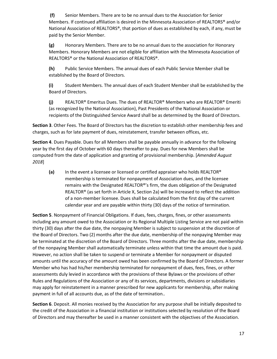**(f)** Senior Members. There are to be no annual dues to the Association for Senior Members. If continued affiliation is desired in the Minnesota Association of REALTORS® and/or National Association of REALTORS®, that portion of dues as established by each, if any, must be paid by the Senior Member.

**(g)** Honorary Members. There are to be no annual dues to the association for Honorary Members. Honorary Members are not eligible for affiliation with the Minnesota Association of REALTORS® or the National Association of REALTORS®.

**(h)** Public Service Members. The annual dues of each Public Service Member shall be established by the Board of Directors.

**(i)** Student Members. The annual dues of each Student Member shall be established by the Board of Directors.

**(j)** REALTOR® Emeritus Dues. The dues of REALTOR® Members who are REALTOR® Emeriti (as recognized by the National Association), Past Presidents of the National Association or recipients of the Distinguished Service Award shall be as determined by the Board of Directors.

**Section 3**. Other Fees. The Board of Directors has the discretion to establish other membership fees and charges, such as for late payment of dues, reinstatement, transfer between offices, etc.

**Section 4**. Dues Payable. Dues for all Members shall be payable annually in advance for the following year by the first day of October with 60 days thereafter to pay. Dues for new Members shall be computed from the date of application and granting of provisional membership. [*Amended August 2018*]

**(a)** In the event a licensee or licensed or certified appraiser who holds REALTOR® membership is terminated for nonpayment of Association dues, and the licensee remains with the Designated REALTOR®'s firm, the dues obligation of the Designated REALTOR® (as set forth in Article X, Section 2a) will be increased to reflect the addition of a non-member licensee. Dues shall be calculated from the first day of the current calendar year and are payable within thirty (30) days of the notice of termination.

**Section 5**. Nonpayment of Financial Obligations. If dues, fees, charges, fines, or other assessments including any amount owed to the Association or its Regional Multiple Listing Service are not paid within thirty (30) days after the due date, the nonpaying Member is subject to suspension at the discretion of the Board of Directors. Two (2) months after the due date, membership of the nonpaying Member may be terminated at the discretion of the Board of Directors. Three months after the due date, membership of the nonpaying Member shall automatically terminate unless within that time the amount due is paid. However, no action shall be taken to suspend or terminate a Member for nonpayment or disputed amounts until the accuracy of the amount owed has been confirmed by the Board of Directors. A former Member who has had his/her membership terminated for nonpayment of dues, fees, fines, or other assessments duly levied in accordance with the provisions of these Bylaws or the provisions of other Rules and Regulations of the Association or any of its services, departments, divisions or subsidiaries may apply for reinstatement in a manner prescribed for new applicants for membership, after making payment in full of all accounts due, as of the date of termination..

**Section 6**. Deposit. All monies received by the Association for any purpose shall be initially deposited to the credit of the Association in a financial institution or institutions selected by resolution of the Board of Directors and may thereafter be used in a manner consistent with the objectives of the Association.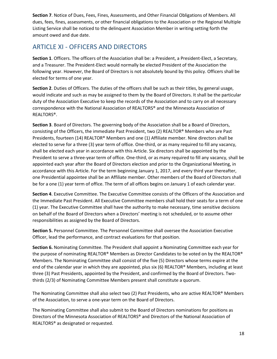**Section 7**. Notice of Dues, Fees, Fines, Assessments, and Other Financial Obligations of Members. All dues, fees, fines, assessments, or other financial obligations to the Association or the Regional Multiple Listing Service shall be noticed to the delinquent Association Member in writing setting forth the amount owed and due date.

# ARTICLE XI - OFFICERS AND DIRECTORS

**Section 1**. Officers. The officers of the Association shall be: a President, a President-Elect, a Secretary, and a Treasurer. The President-Elect would normally be elected President of the Association the following year. However, the Board of Directors is not absolutely bound by this policy. Officers shall be elected for terms of one year.

**Section 2**. Duties of Officers. The duties of the officers shall be such as their titles, by general usage, would indicate and such as may be assigned to them by the Board of Directors. It shall be the particular duty of the Association Executive to keep the records of the Association and to carry on all necessary correspondence with the National Association of REALTORS® and the Minnesota Association of REALTORS®.

**Section 3**. Board of Directors. The governing body of the Association shall be a Board of Directors, consisting of the Officers, the immediate Past President, two (2) REALTOR® Members who are Past Presidents, fourteen (14) REALTOR® Members and one (1) Affiliate member. Nine directors shall be elected to serve for a three (3) year term of office. One-third, or as many required to fill any vacancy, shall be elected each year in accordance with this Article. Six directors shall be appointed by the President to serve a three-year term of office. One-third, or as many required to fill any vacancy, shall be appointed each year after the Board of Directors election and prior to the Organizational Meeting, in accordance with this Article. For the term beginning January 1, 2017, and every third year thereafter, one Presidential appointee shall be an Affiliate member. Other members of the Board of Directors shall be for a one (1) year term of office. The term of all offices begins on January 1 of each calendar year.

**Section 4**. Executive Committee. The Executive Committee consists of the Officers of the Association and the Immediate Past President. All Executive Committee members shall hold their seats for a term of one (1) year. The Executive Committee shall have the authority to make necessary, time sensitive decisions on behalf of the Board of Directors when a Directors' meeting is not scheduled, or to assume other responsibilities as assigned by the Board of Directors.

**Section 5.** Personnel Committee. The Personnel Committee shall oversee the Association Executive Officer, lead the performance, and contract evaluations for that position.

**Section 6.** Nominating Committee. The President shall appoint a Nominating Committee each year for the purpose of nominating REALTOR® Members as Director Candidates to be voted on by the REALTOR® Members. The Nominating Committee shall consist of the five (5) Directors whose terms expire at the end of the calendar year in which they are appointed, plus six (6) REALTOR® Members, including at least three (3) Past Presidents, appointed by the President, and confirmed by the Board of Directors. Twothirds (2/3) of Nominating Committee Members present shall constitute a quorum.

The Nominating Committee shall also select two (2) Past Presidents, who are active REALTOR® Members of the Association, to serve a one-year term on the Board of Directors.

The Nominating Committee shall also submit to the Board of Directors nominations for positions as Directors of the Minnesota Association of REALTORS® and Directors of the National Association of REALTORS® as designated or requested.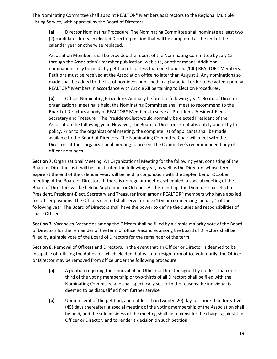The Nominating Committee shall appoint REALTOR® Members as Directors to the Regional Multiple Listing Service, with approval by the Board of Directors.

**(a)** Director Nominating Procedure. The Nominating Committee shall nominate at least two (2) candidates for each elected Director position that will be completed at the end of the calendar year or otherwise replaced.

Association Members shall be provided the report of the Nominating Committee by July 15 through the Association's member publication, web site, or other means. Additional nominations may be made by petition of not less than one hundred (100) REALTOR<sup>®</sup> Members. Petitions must be received at the Association office no later than August 1. Any nominations so made shall be added to the list of nominees published in alphabetical order to be voted upon by REALTOR® Members in accordance with Article XII pertaining to Election Procedures.

**(b)** Officer Nominating Procedure. Annually before the following year's Board of Directors organizational meeting is held, the Nominating Committee shall meet to recommend to the Board of Directors a body of REALTOR® Members to serve as President, President-Elect, Secretary and Treasurer. The President-Elect would normally be elected President of the Association the following year. However, the Board of Directors is not absolutely bound by this policy. Prior to the organizational meeting, the complete list of applicants shall be made available to the Board of Directors. The Nominating Committee Chair will meet with the Directors at their organizational meeting to present the Committee's recommended body of officer nominees.

**Section 7.** Organizational Meeting. An Organizational Meeting for the following year, consisting of the Board of Directors as it will be constituted the following year, as well as the Directors whose terms expire at the end of the calendar year, will be held in conjunction with the September or October meeting of the Board of Directors. If there is no regular meeting scheduled, a special meeting of the Board of Directors will be held in September or October. At this meeting, the Directors shall elect a President, President-Elect, Secretary and Treasurer from among REALTOR® members who have applied for officer positions. The Officers elected shall serve for one (1) year commencing January 1 of the following year. The Board of Directors shall have the power to define the duties and responsibilities of these Officers.

**Section 7**. Vacancies**.** Vacancies among the Officers shall be filled by a simple majority vote of the Board of Directors for the remainder of the term of office. Vacancies among the Board of Directors shall be filled by a simple vote of the Board of Directors for the remainder of the term.

**Section 8**. Removal of Officers and Directors. In the event that an Officer or Director is deemed to be incapable of fulfilling the duties for which elected, but will not resign from office voluntarily, the Officer or Director may be removed from office under the following procedure:

- **(a)** A petition requiring the removal of an Officer or Director signed by not less than onethird of the voting membership or two-thirds of all Directors shall be filed with the Nominating Committee and shall specifically set forth the reasons the individual is deemed to be disqualified from further service.
- **(b)** Upon receipt of the petition, and not less than twenty (20) days or more than forty-five (45) days thereafter, a special meeting of the voting membership of the Association shall be held, and the sole business of the meeting shall be to consider the charge against the Officer or Director, and to render a decision on such petition.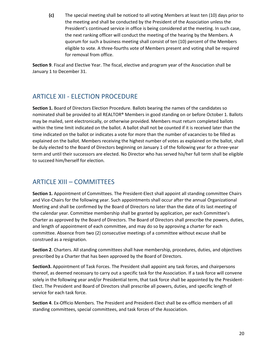**(c)** The special meeting shall be noticed to all voting Members at least ten (10) days prior to the meeting and shall be conducted by the President of the Association unless the President's continued service in office is being considered at the meeting. In such case, the next ranking officer will conduct the meeting of the hearing by the Members. A quorum for such a business meeting shall consist of ten (10) percent of the Members eligible to vote. A three-fourths vote of Members present and voting shall be required for removal from office.

**Section 9**. Fiscal and Elective Year. The fiscal, elective and program year of the Association shall be January 1 to December 31.

# ARTICLE XII - ELECTION PROCEDURE

**Section 1.** Board of Directors Election Procedure. Ballots bearing the names of the candidates so nominated shall be provided to all REALTOR® Members in good standing on or before October 1. Ballots may be mailed, sent electronically, or otherwise provided. Members must return completed ballots within the time limit indicated on the ballot. A ballot shall not be counted if it is received later than the time indicated on the ballot or indicates a vote for more than the number of vacancies to be filled as explained on the ballot. Members receiving the highest number of votes as explained on the ballot, shall be duly elected to the Board of Directors beginning on January 1 of the following year for a three-year term and until their successors are elected. No Director who has served his/her full term shall be eligible to succeed him/herself for election.

# ARTICLE XIII – COMMITTEES

**Section 1.** Appointment of Committees. The President-Elect shall appoint all standing committee Chairs and Vice-Chairs for the following year. Such appointments shall occur after the annual Organizational Meeting and shall be confirmed by the Board of Directors no later than the date of its last meeting of the calendar year. Committee membership shall be granted by application, per each Committee's Charter as approved by the Board of Directors. The Board of Directors shall prescribe the powers, duties, and length of appointment of each committee, and may do so by approving a charter for each committee. Absence from two (2) consecutive meetings of a committee without excuse shall be construed as a resignation.

**Section 2**. Charters. All standing committees shall have membership, procedures, duties, and objectives prescribed by a Charter that has been approved by the Board of Directors.

**Section3.** Appointment of Task Forces. The President shall appoint any task forces, and chairpersons thereof, as deemed necessary to carry out a specific task for the Association. If a task force will convene solely in the following year and/or Presidential term, that task force shall be appointed by the President-Elect. The President and Board of Directors shall prescribe all powers, duties, and specific length of service for each task force.

**Section 4**. Ex-Officio Members. The President and President-Elect shall be ex-officio members of all standing committees, special committees, and task forces of the Association.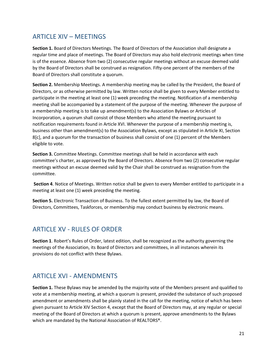# ARTICLE XIV – MEETINGS

**Section 1.** Board of Directors Meetings. The Board of Directors of the Association shall designate a regular time and place of meetings. The Board of Directors may also hold electronic meetings when time is of the essence. Absence from two (2) consecutive regular meetings without an excuse deemed valid by the Board of Directors shall be construed as resignation. Fifty-one percent of the members of the Board of Directors shall constitute a quorum.

**Section 2.** Membership Meetings. A membership meeting may be called by the President, the Board of Directors, or as otherwise permitted by law. Written notice shall be given to every Member entitled to participate in the meeting at least one (1) week preceding the meeting. Notification of a membership meeting shall be accompanied by a statement of the purpose of the meeting. Whenever the purpose of a membership meeting is to take up amendment(s) to the Association Bylaws or Articles of Incorporation, a quorum shall consist of those Members who attend the meeting pursuant to notification requirements found in Article XVI. Whenever the purpose of a membership meeting is, business other than amendment(s) to the Association Bylaws, except as stipulated in Article XI, Section 8[c], and a quorum for the transaction of business shall consist of one (1) percent of the Members eligible to vote.

**Section 3.** Committee Meetings. Committee meetings shall be held in accordance with each committee's charter, as approved by the Board of Directors. Absence from two (2) consecutive regular meetings without an excuse deemed valid by the Chair shall be construed as resignation from the committee.

**Section 4**. Notice of Meetings. Written notice shall be given to every Member entitled to participate in a meeting at least one (1) week preceding the meeting.

**Section 5.** Electronic Transaction of Business. To the fullest extent permitted by law, the Board of Directors, Committees, Taskforces, or membership may conduct business by electronic means.

### ARTICLE XV - RULES OF ORDER

**Section 1**. Robert's Rules of Order, latest edition, shall be recognized as the authority governing the meetings of the Association, its Board of Directors and committees, in all instances wherein its provisions do not conflict with these Bylaws.

# ARTICLE XVI - AMENDMENTS

**Section 1.** These Bylaws may be amended by the majority vote of the Members present and qualified to vote at a membership meeting, at which a quorum is present, provided the substance of such proposed amendment or amendments shall be plainly stated in the call for the meeting, notice of which has been given pursuant to Article XIV Section 4, except that the Board of Directors may, at any regular or special meeting of the Board of Directors at which a quorum is present, approve amendments to the Bylaws which are mandated by the National Association of REALTORS®.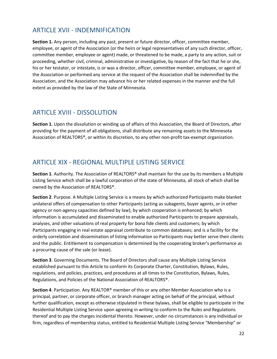## ARTICLE XVII - INDEMNIFICATION

**Section 1.** Any person, including any past, present or future director, officer, committee member, employee, or agent of the Association (or the heirs or legal representatives of any such director, officer, committee member, employee or agent) made, or threatened to be made, a party to any action, suit or proceeding, whether civil, criminal, administrative or investigative, by reason of the fact that he or she, his or her testator, or intestate, is or was a director, officer, committee member, employee, or agent of the Association or performed any service at the request of the Association shall be indemnified by the Association, and the Association may advance his or her related expenses in the manner and the full extent as provided by the law of the State of Minnesota.

## ARTICLE XVIII - DISSOLUTION

**Section 1.** Upon the dissolution or winding up of affairs of this Association, the Board of Directors, after providing for the payment of all obligations, shall distribute any remaining assets to the Minnesota Association of REALTORS®, or within its discretion, to any other non-profit tax-exempt organization.

# ARTICLE XIX - REGIONAL MULTIPLE LISTING SERVICE

**Section 1**. Authority. The Association of REALTORS® shall maintain for the use by its members a Multiple Listing Service which shall be a lawful corporation of the state of Minnesota, all stock of which shall be owned by the Association of REALTORS®.

**Section 2**. Purpose. A Multiple Listing Service is a means by which authorized Participants make blanket unilateral offers of compensation to other Participants (acting as subagents, buyer agents, or in other agency or non-agency capacities defined by law); by which cooperation is enhanced; by which information is accumulated and disseminated to enable authorized Participants to prepare appraisals, analyses, and other valuations of real property for bona fide clients and customers; by which Participants engaging in real estate appraisal contribute to common databases; and is a facility for the orderly correlation and dissemination of listing information so Participants may better serve their clients and the public. Entitlement to compensation is determined by the cooperating broker's performance as a procuring cause of the sale (or lease).

**Section 3**. Governing Documents. The Board of Directors shall cause any Multiple Listing Service established pursuant to this Article to conform its Corporate Charter, Constitution, Bylaws, Rules, regulations, and policies, practices, and procedures at all times to the Constitution, Bylaws, Rules, Regulations, and Policies of the National Association of REALTORS®.

**Section 4**. Participation. Any REALTOR® member of this or any other Member Association who is a principal, partner, or corporate officer, or branch manager acting on behalf of the principal, without further qualification, except as otherwise stipulated in these bylaws, shall be eligible to participate in the Residential Multiple Listing Service upon agreeing in writing to conform to the Rules and Regulations thereof and to pay the charges incidental thereto. However, under no circumstances is any individual or firm, regardless of membership status, entitled to Residential Multiple Listing Service "Membership" or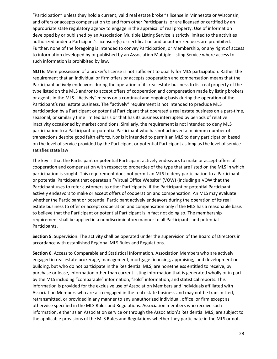"Participation" unless they hold a current, valid real estate broker's license in Minnesota or Wisconsin, and offers or accepts compensation to and from other Participants, or are licensed or certified by an appropriate state regulatory agency to engage in the appraisal of real property. Use of information developed by or published by an Association Multiple Listing Service is strictly limited to the activities authorized under a Participant's licensure(s) or certification and unauthorized uses are prohibited. Further, none of the foregoing is intended to convey Participation, or Membership, or any right of access to information developed by or published by an Association Multiple Listing Service where access to such information is prohibited by law.

**NOTE:** Mere possession of a broker's license is not sufficient to qualify for MLS participation. Rather the requirement that an individual or firm offers or accepts cooperation and compensation means that the Participant actively endeavors during the operation of its real estate business to list real property of the type listed on the MLS and/or to accept offers of cooperation and compensation made by listing brokers or agents in the MLS. "Actively" means on a continual and ongoing basis during the operation of the Participant's real estate business. The "actively" requirement is not intended to preclude MLS participation by a Participant or potential Participant that operated a real estate business on a part-time, seasonal, or similarly time limited basis or that has its business interrupted by periods of relative inactivity occasioned by market conditions. Similarly, the requirement is not intended to deny MLS participation to a Participant or potential Participant who has not achieved a minimum number of transactions despite good faith efforts. Nor is it intended to permit an MLS to deny participation based on the level of service provided by the Participant or potential Participant as long as the level of service satisfies state law

The key is that the Participant or potential Participant actively endeavors to make or accept offers of cooperation and compensation with respect to properties of the type that are listed on the MLS in which participation is sought. This requirement does not permit an MLS to deny participation to a Participant or potential Participant that operates a "Virtual Office Website" (VOW) (including a VOW that the Participant uses to refer customers to other Participants) if the Participant or potential Participant actively endeavors to make or accept offers of cooperation and compensation. An MLS may evaluate whether the Participant or potential Participant actively endeavors during the operation of its real estate business to offer or accept cooperation and compensation only if the MLS has a reasonable basis to believe that the Participant or potential Participant is in fact not doing so. The membership requirement shall be applied in a nondiscriminatory manner to all Participants and potential Participants.

**Section 5**. Supervision. The activity shall be operated under the supervision of the Board of Directors in accordance with established Regional MLS Rules and Regulations.

**Section 6**. Access to Comparable and Statistical Information. Association Members who are actively engaged in real estate brokerage, management, mortgage financing, appraising, land development or building, but who do not participate in the Residential MLS, are nonetheless entitled to receive, by purchase or lease, information other than current listing information that is generated wholly or in part by the MLS including "comparable" information, "sold" information, and statistical reports. This information is provided for the exclusive use of Association Members and individuals affiliated with Association Members who are also engaged in the real estate business and may not be transmitted, retransmitted, or provided in any manner to any unauthorized individual, office, or firm except as otherwise specified in the MLS Rules and Regulations. Association members who receive such information, either as an Association service or through the Association's Residential MLS, are subject to the applicable provisions of the MLS Rules and Regulations whether they participate in the MLS or not.